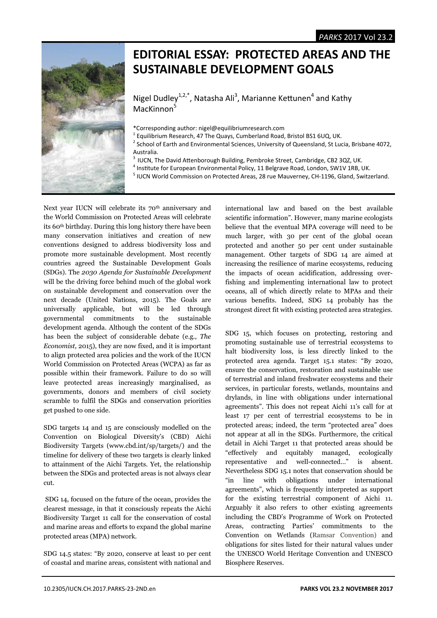

## **EDITORIAL ESSAY: PROTECTED AREAS AND THE SUSTAINABLE DEVELOPMENT GOALS**

Nigel Dudley<sup>1,2,\*</sup>, Natasha Ali<sup>3</sup>, Marianne Kettunen<sup>4</sup> and Kathy MacKinnon<sup>5</sup>

- \*Corresponding author: nigel@equilibriumresearch.com
- <sup>1</sup> Equilibrium Research, 47 The Quays, Cumberland Road, Bristol BS1 6UQ, UK.<br><sup>2</sup> School of Earth and Environmental Sciences, University of Queensland, St Lug
- <sup>2</sup> School of Earth and Environmental Sciences, University of Queensland, St Lucia, Brisbane 4072, Australia.
- <sup>3</sup> IUCN, The David Attenborough Building, Pembroke Street, Cambridge, CB2 3QZ, UK.
- $^4$  Institute for European Environmental Policy, 11 Belgrave Road, London, SW1V 1RB, UK.
- <sup>5</sup> IUCN World Commission on Protected Areas, 28 rue Mauverney, CH-1196, Gland, Switzerland.

Next year IUCN will celebrate its 70<sup>th</sup> anniversary and the World Commission on Protected Areas will celebrate its 60th birthday. During this long history there have been many conservation initiatives and creation of new conventions designed to address biodiversity loss and promote more sustainable development. Most recently countries agreed the Sustainable Development Goals (SDGs). The *2030 Agenda for Sustainable Development* will be the driving force behind much of the global work on sustainable development and conservation over the next decade (United Nations, 2015). The Goals are universally applicable, but will be led through governmental commitments to the sustainable development agenda. Although the content of the SDGs has been the subject of considerable debate (e.g., *The Economist*, 2015), they are now fixed, and it is important to align protected area policies and the work of the IUCN World Commission on Protected Areas (WCPA) as far as possible within their framework. Failure to do so will leave protected areas increasingly marginalised, as governments, donors and members of civil society scramble to fulfil the SDGs and conservation priorities get pushed to one side.

SDG targets 14 and 15 are consciously modelled on the Convention on Biological Diversity's (CBD) Aichi Biodiversity Targets (www.cbd.int/sp/targets/) and the timeline for delivery of these two targets is clearly linked to attainment of the Aichi Targets. Yet, the relationship between the SDGs and protected areas is not always clear cut.

 SDG 14, focused on the future of the ocean, provides the clearest message, in that it consciously repeats the Aichi Biodiversity Target 11 call for the conservation of costal and marine areas and efforts to expand the global marine protected areas (MPA) network.

SDG 14.5 states: "By 2020, conserve at least 10 per cent of coastal and marine areas, consistent with national and

international law and based on the best available scientific information". However, many marine ecologists believe that the eventual MPA coverage will need to be much larger, with 30 per cent of the global ocean protected and another 50 per cent under sustainable management. Other targets of SDG 14 are aimed at increasing the resilience of marine ecosystems, reducing the impacts of ocean acidification, addressing overfishing and implementing international law to protect oceans, all of which directly relate to MPAs and their various benefits. Indeed, SDG 14 probably has the strongest direct fit with existing protected area strategies.

SDG 15, which focuses on protecting, restoring and promoting sustainable use of terrestrial ecosystems to halt biodiversity loss, is less directly linked to the protected area agenda. Target 15.1 states: "By 2020, ensure the conservation, restoration and sustainable use of terrestrial and inland freshwater ecosystems and their services, in particular forests, wetlands, mountains and drylands, in line with obligations under international agreements". This does not repeat Aichi 11's call for at least 17 per cent of terrestrial ecosystems to be in protected areas; indeed, the term "protected area" does not appear at all in the SDGs. Furthermore, the critical detail in Aichi Target 11 that protected areas should be "effectively and equitably managed, ecologically representative and well-connected…" is absent. Nevertheless SDG 15.1 notes that conservation should be "in line with obligations under international agreements", which is frequently interpreted as support for the existing terrestrial component of Aichi 11. Arguably it also refers to other existing agreements including the CBD's Programme of Work on Protected Areas, contracting Parties' commitments to the Convention on Wetlands (Ramsar Convention) and obligations for sites listed for their natural values under the UNESCO World Heritage Convention and UNESCO Biosphere Reserves.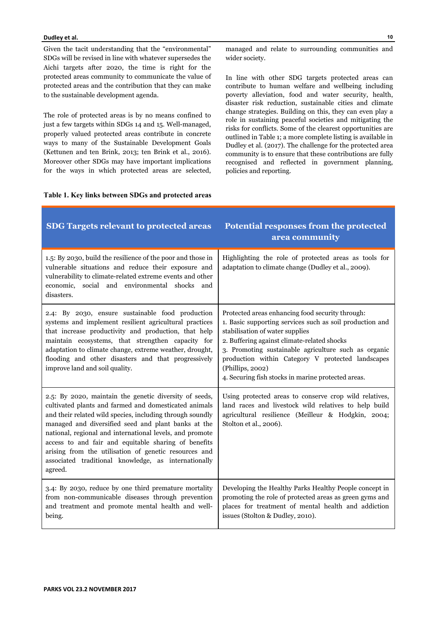## **Dudley et al.**

Given the tacit understanding that the "environmental" SDGs will be revised in line with whatever supersedes the Aichi targets after 2020, the time is right for the protected areas community to communicate the value of protected areas and the contribution that they can make to the sustainable development agenda.

The role of protected areas is by no means confined to just a few targets within SDGs 14 and 15. Well-managed, properly valued protected areas contribute in concrete ways to many of the Sustainable Development Goals (Kettunen and ten Brink, 2013; ten Brink et al., 2016). Moreover other SDGs may have important implications for the ways in which protected areas are selected, managed and relate to surrounding communities and wider society.

In line with other SDG targets protected areas can contribute to human welfare and wellbeing including poverty alleviation, food and water security, health, disaster risk reduction, sustainable cities and climate change strategies. Building on this, they can even play a role in sustaining peaceful societies and mitigating the risks for conflicts. Some of the clearest opportunities are outlined in Table 1; a more complete listing is available in Dudley et al. (2017). The challenge for the protected area community is to ensure that these contributions are fully recognised and reflected in government planning, policies and reporting.

## **Table 1. Key links between SDGs and protected areas**

| <b>SDG Targets relevant to protected areas</b>                                                                                                                                                                                                                                                                                                                                                                                                                                      | <b>Potential responses from the protected</b><br>area community                                                                                                                                                                                                                                                                                                                       |
|-------------------------------------------------------------------------------------------------------------------------------------------------------------------------------------------------------------------------------------------------------------------------------------------------------------------------------------------------------------------------------------------------------------------------------------------------------------------------------------|---------------------------------------------------------------------------------------------------------------------------------------------------------------------------------------------------------------------------------------------------------------------------------------------------------------------------------------------------------------------------------------|
| 1.5: By 2030, build the resilience of the poor and those in<br>vulnerable situations and reduce their exposure and<br>vulnerability to climate-related extreme events and other<br>economic, social and environmental shocks and<br>disasters.                                                                                                                                                                                                                                      | Highlighting the role of protected areas as tools for<br>adaptation to climate change (Dudley et al., 2009).                                                                                                                                                                                                                                                                          |
| 2.4: By 2030, ensure sustainable food production<br>systems and implement resilient agricultural practices<br>that increase productivity and production, that help<br>maintain ecosystems, that strengthen capacity for<br>adaptation to climate change, extreme weather, drought,<br>flooding and other disasters and that progressively<br>improve land and soil quality.                                                                                                         | Protected areas enhancing food security through:<br>1. Basic supporting services such as soil production and<br>stabilisation of water supplies<br>2. Buffering against climate-related shocks<br>3. Promoting sustainable agriculture such as organic<br>production within Category V protected landscapes<br>(Phillips, 2002)<br>4. Securing fish stocks in marine protected areas. |
| 2.5: By 2020, maintain the genetic diversity of seeds,<br>cultivated plants and farmed and domesticated animals<br>and their related wild species, including through soundly<br>managed and diversified seed and plant banks at the<br>national, regional and international levels, and promote<br>access to and fair and equitable sharing of benefits<br>arising from the utilisation of genetic resources and<br>associated traditional knowledge, as internationally<br>agreed. | Using protected areas to conserve crop wild relatives,<br>land races and livestock wild relatives to help build<br>agricultural resilience (Meilleur & Hodgkin, 2004;<br>Stolton et al., 2006).                                                                                                                                                                                       |
| 3.4: By 2030, reduce by one third premature mortality<br>from non-communicable diseases through prevention<br>and treatment and promote mental health and well-<br>being.                                                                                                                                                                                                                                                                                                           | Developing the Healthy Parks Healthy People concept in<br>promoting the role of protected areas as green gyms and<br>places for treatment of mental health and addiction<br>issues (Stolton & Dudley, 2010).                                                                                                                                                                          |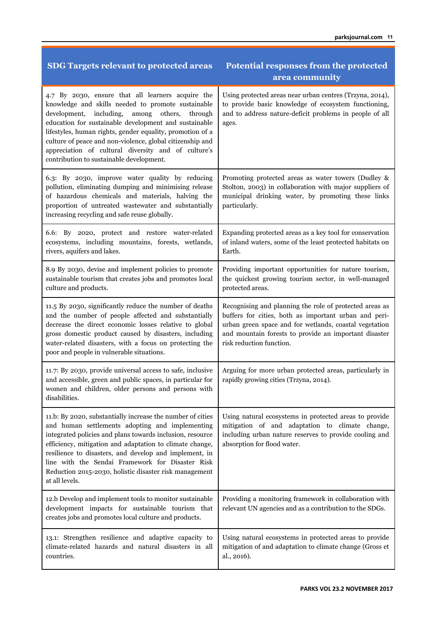| <b>SDG Targets relevant to protected areas</b>                                                                                                                                                                                                                                                                                                                                                                                                       | <b>Potential responses from the protected</b><br>area community                                                                                                                                                                                                 |
|------------------------------------------------------------------------------------------------------------------------------------------------------------------------------------------------------------------------------------------------------------------------------------------------------------------------------------------------------------------------------------------------------------------------------------------------------|-----------------------------------------------------------------------------------------------------------------------------------------------------------------------------------------------------------------------------------------------------------------|
| 4.7 By 2030, ensure that all learners acquire the<br>knowledge and skills needed to promote sustainable<br>development, including,<br>among others,<br>through<br>education for sustainable development and sustainable<br>lifestyles, human rights, gender equality, promotion of a<br>culture of peace and non-violence, global citizenship and<br>appreciation of cultural diversity and of culture's<br>contribution to sustainable development. | Using protected areas near urban centres (Trzyna, 2014),<br>to provide basic knowledge of ecosystem functioning,<br>and to address nature-deficit problems in people of all<br>ages.                                                                            |
| 6.3: By 2030, improve water quality by reducing<br>pollution, eliminating dumping and minimising release<br>of hazardous chemicals and materials, halving the<br>proportion of untreated wastewater and substantially<br>increasing recycling and safe reuse globally.                                                                                                                                                                               | Promoting protected areas as water towers (Dudley &<br>Stolton, 2003) in collaboration with major suppliers of<br>municipal drinking water, by promoting these links<br>particularly.                                                                           |
| 6.6: By 2020, protect and restore water-related<br>ecosystems, including mountains, forests, wetlands,<br>rivers, aquifers and lakes.                                                                                                                                                                                                                                                                                                                | Expanding protected areas as a key tool for conservation<br>of inland waters, some of the least protected habitats on<br>Earth.                                                                                                                                 |
| 8.9 By 2030, devise and implement policies to promote<br>sustainable tourism that creates jobs and promotes local<br>culture and products.                                                                                                                                                                                                                                                                                                           | Providing important opportunities for nature tourism,<br>the quickest growing tourism sector, in well-managed<br>protected areas.                                                                                                                               |
| 11.5 By 2030, significantly reduce the number of deaths<br>and the number of people affected and substantially<br>decrease the direct economic losses relative to global<br>gross domestic product caused by disasters, including<br>water-related disasters, with a focus on protecting the<br>poor and people in vulnerable situations.                                                                                                            | Recognising and planning the role of protected areas as<br>buffers for cities, both as important urban and peri-<br>urban green space and for wetlands, coastal vegetation<br>and mountain forests to provide an important disaster<br>risk reduction function. |
| 11.7: By 2030, provide universal access to safe, inclusive<br>and accessible, green and public spaces, in particular for<br>women and children, older persons and persons with<br>disabilities.                                                                                                                                                                                                                                                      | Arguing for more urban protected areas, particularly in<br>rapidly growing cities (Trzyna, 2014).                                                                                                                                                               |
| 11.b: By 2020, substantially increase the number of cities<br>and human settlements adopting and implementing<br>integrated policies and plans towards inclusion, resource<br>efficiency, mitigation and adaptation to climate change,<br>resilience to disasters, and develop and implement, in<br>line with the Sendai Framework for Disaster Risk<br>Reduction 2015-2030, holistic disaster risk management<br>at all levels.                     | Using natural ecosystems in protected areas to provide<br>mitigation of and adaptation to climate change,<br>including urban nature reserves to provide cooling and<br>absorption for flood water.                                                              |
| 12.b Develop and implement tools to monitor sustainable<br>development impacts for sustainable tourism that<br>creates jobs and promotes local culture and products.                                                                                                                                                                                                                                                                                 | Providing a monitoring framework in collaboration with<br>relevant UN agencies and as a contribution to the SDGs.                                                                                                                                               |
| 13.1: Strengthen resilience and adaptive capacity to<br>climate-related hazards and natural disasters in all<br>countries.                                                                                                                                                                                                                                                                                                                           | Using natural ecosystems in protected areas to provide<br>mitigation of and adaptation to climate change (Gross et<br>al., 2016).                                                                                                                               |